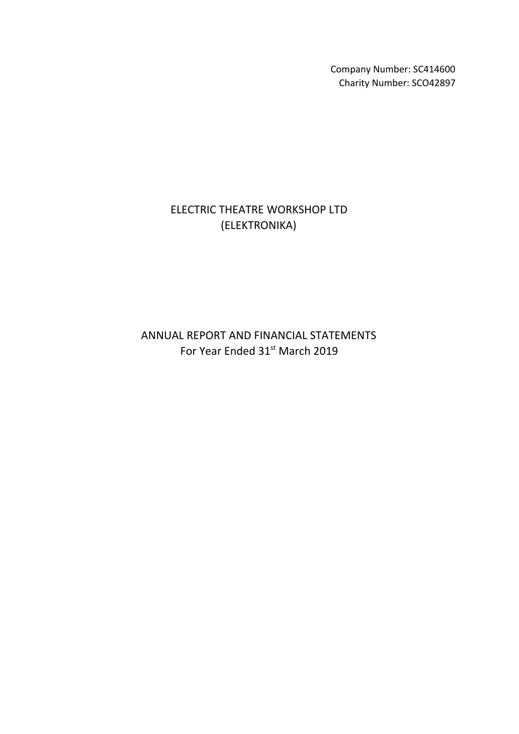Company Number: SC414600 Charity Number: SCO42897

# ELECTRIC THEATRE WORKSHOP LTD (ELEKTRONIKA)

ANNUAL REPORT AND FINANCIAL STATEMENTS For Year Ended 31<sup>st</sup> March 2019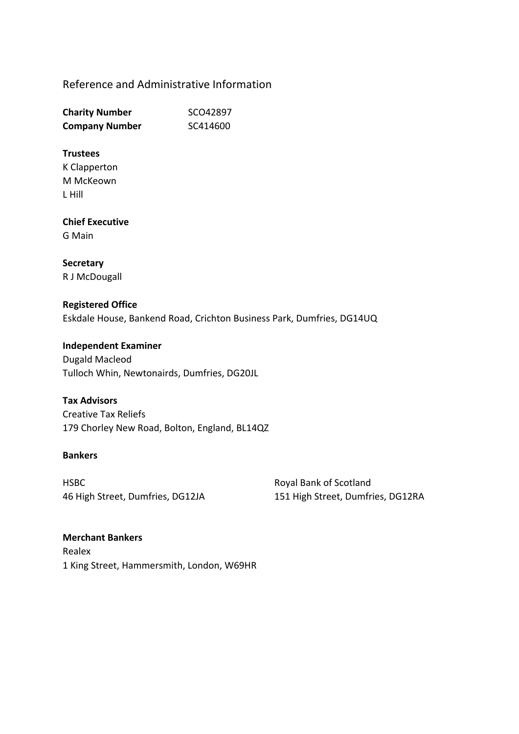# Reference and Administrative Information

| <b>Charity Number</b> | SCO42897 |
|-----------------------|----------|
| <b>Company Number</b> | SC414600 |

### **Trustees**

K Clapperton M McKeown L Hill

# **Chief Executive**

G Main

## **Secretary** R J McDougall

# **Registered Office** Eskdale House, Bankend Road, Crichton Business Park, Dumfries, DG14UQ

**Independent Examiner** Dugald Macleod Tulloch Whin, Newtonairds, Dumfries, DG20JL

### **Tax Advisors**

Creative Tax Reliefs 179 Chorley New Road, Bolton, England, BL14QZ

### **Bankers**

HSBC 46 High Street, Dumfries, DG12JA Royal Bank of Scotland 151 High Street, Dumfries, DG12RA

# **Merchant Bankers** Realex 1 King Street, Hammersmith, London, W69HR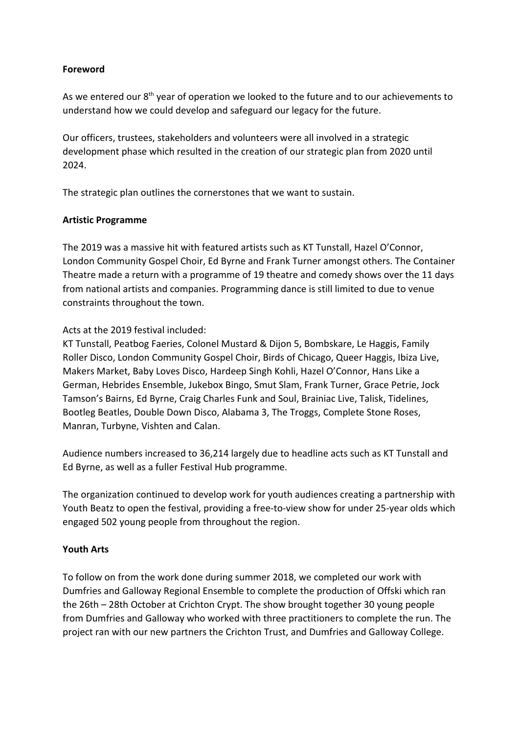## **Foreword**

As we entered our  $8<sup>th</sup>$  year of operation we looked to the future and to our achievements to understand how we could develop and safeguard our legacy for the future.

Our officers, trustees, stakeholders and volunteers were all involved in a strategic development phase which resulted in the creation of our strategic plan from 2020 until 2024.

The strategic plan outlines the cornerstones that we want to sustain.

### **Artistic Programme**

The 2019 was a massive hit with featured artists such as KT Tunstall, Hazel O'Connor, London Community Gospel Choir, Ed Byrne and Frank Turner amongst others. The Container Theatre made a return with a programme of 19 theatre and comedy shows over the 11 days from national artists and companies. Programming dance is still limited to due to venue constraints throughout the town.

Acts at the 2019 festival included:

KT Tunstall, Peatbog Faeries, Colonel Mustard & Dijon 5, Bombskare, Le Haggis, Family Roller Disco, London Community Gospel Choir, Birds of Chicago, Queer Haggis, Ibiza Live, Makers Market, Baby Loves Disco, Hardeep Singh Kohli, Hazel O'Connor, Hans Like a German, Hebrides Ensemble, Jukebox Bingo, Smut Slam, Frank Turner, Grace Petrie, Jock Tamson's Bairns, Ed Byrne, Craig Charles Funk and Soul, Brainiac Live, Talisk, Tidelines, Bootleg Beatles, Double Down Disco, Alabama 3, The Troggs, Complete Stone Roses, Manran, Turbyne, Vishten and Calan.

Audience numbers increased to 36,214 largely due to headline acts such as KT Tunstall and Ed Byrne, as well as a fuller Festival Hub programme.

The organization continued to develop work for youth audiences creating a partnership with Youth Beatz to open the festival, providing a free-to-view show for under 25-year olds which engaged 502 young people from throughout the region.

### **Youth Arts**

To follow on from the work done during summer 2018, we completed our work with Dumfries and Galloway Regional Ensemble to complete the production of Offski which ran the 26th – 28th October at Crichton Crypt. The show brought together 30 young people from Dumfries and Galloway who worked with three practitioners to complete the run. The project ran with our new partners the Crichton Trust, and Dumfries and Galloway College.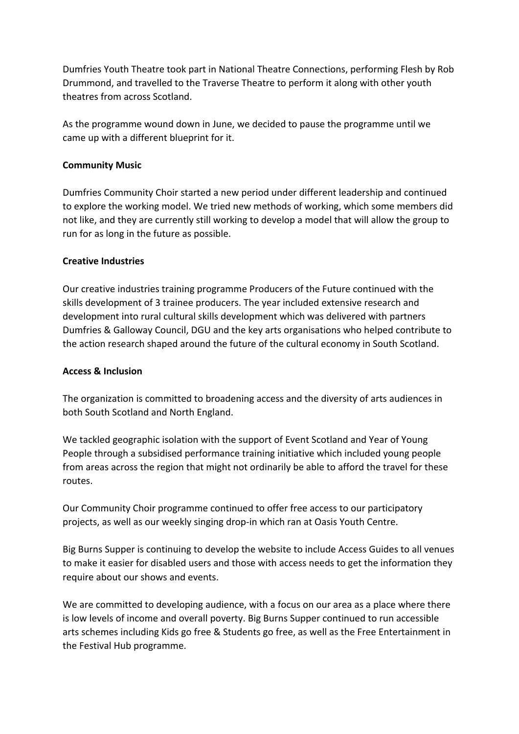Dumfries Youth Theatre took part in National Theatre Connections, performing Flesh by Rob Drummond, and travelled to the Traverse Theatre to perform it along with other youth theatres from across Scotland.

As the programme wound down in June, we decided to pause the programme until we came up with a different blueprint for it.

## **Community Music**

Dumfries Community Choir started a new period under different leadership and continued to explore the working model. We tried new methods of working, which some members did not like, and they are currently still working to develop a model that will allow the group to run for as long in the future as possible.

# **Creative Industries**

Our creative industries training programme Producers of the Future continued with the skills development of 3 trainee producers. The year included extensive research and development into rural cultural skills development which was delivered with partners Dumfries & Galloway Council, DGU and the key arts organisations who helped contribute to the action research shaped around the future of the cultural economy in South Scotland.

### **Access & Inclusion**

The organization is committed to broadening access and the diversity of arts audiences in both South Scotland and North England.

We tackled geographic isolation with the support of Event Scotland and Year of Young People through a subsidised performance training initiative which included young people from areas across the region that might not ordinarily be able to afford the travel for these routes.

Our Community Choir programme continued to offer free access to our participatory projects, as well as our weekly singing drop-in which ran at Oasis Youth Centre.

Big Burns Supper is continuing to develop the website to include Access Guides to all venues to make it easier for disabled users and those with access needs to get the information they require about our shows and events.

We are committed to developing audience, with a focus on our area as a place where there is low levels of income and overall poverty. Big Burns Supper continued to run accessible arts schemes including Kids go free & Students go free, as well as the Free Entertainment in the Festival Hub programme.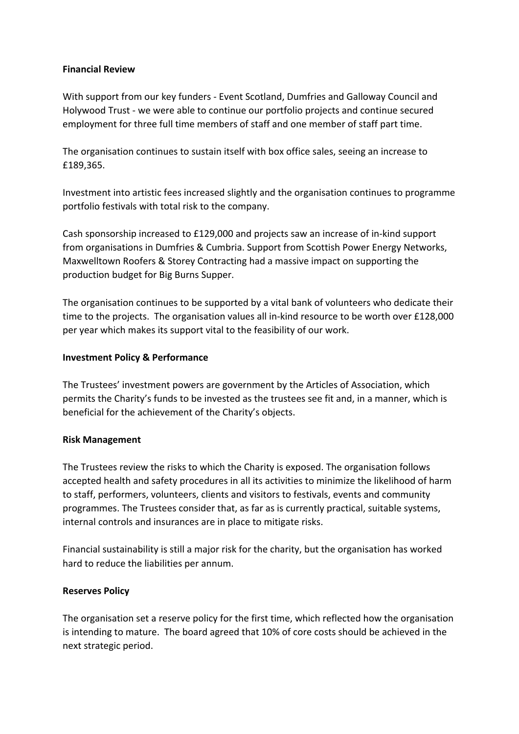### **Financial Review**

With support from our key funders - Event Scotland, Dumfries and Galloway Council and Holywood Trust - we were able to continue our portfolio projects and continue secured employment for three full time members of staff and one member of staff part time.

The organisation continues to sustain itself with box office sales, seeing an increase to £189,365.

Investment into artistic fees increased slightly and the organisation continues to programme portfolio festivals with total risk to the company.

Cash sponsorship increased to £129,000 and projects saw an increase of in-kind support from organisations in Dumfries & Cumbria. Support from Scottish Power Energy Networks, Maxwelltown Roofers & Storey Contracting had a massive impact on supporting the production budget for Big Burns Supper.

The organisation continues to be supported by a vital bank of volunteers who dedicate their time to the projects. The organisation values all in-kind resource to be worth over £128,000 per year which makes its support vital to the feasibility of our work.

#### **Investment Policy & Performance**

The Trustees' investment powers are government by the Articles of Association, which permits the Charity's funds to be invested as the trustees see fit and, in a manner, which is beneficial for the achievement of the Charity's objects.

#### **Risk Management**

The Trustees review the risks to which the Charity is exposed. The organisation follows accepted health and safety procedures in all its activities to minimize the likelihood of harm to staff, performers, volunteers, clients and visitors to festivals, events and community programmes. The Trustees consider that, as far as is currently practical, suitable systems, internal controls and insurances are in place to mitigate risks.

Financial sustainability is still a major risk for the charity, but the organisation has worked hard to reduce the liabilities per annum.

### **Reserves Policy**

The organisation set a reserve policy for the first time, which reflected how the organisation is intending to mature. The board agreed that 10% of core costs should be achieved in the next strategic period.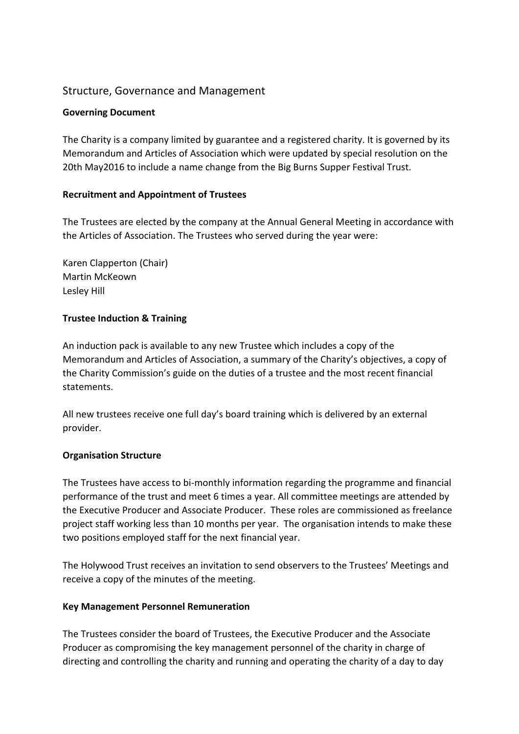# Structure, Governance and Management

### **Governing Document**

The Charity is a company limited by guarantee and a registered charity. It is governed by its Memorandum and Articles of Association which were updated by special resolution on the 20th May2016 to include a name change from the Big Burns Supper Festival Trust.

### **Recruitment and Appointment of Trustees**

The Trustees are elected by the company at the Annual General Meeting in accordance with the Articles of Association. The Trustees who served during the year were:

Karen Clapperton (Chair) Martin McKeown Lesley Hill

# **Trustee Induction & Training**

An induction pack is available to any new Trustee which includes a copy of the Memorandum and Articles of Association, a summary of the Charity's objectives, a copy of the Charity Commission's guide on the duties of a trustee and the most recent financial statements.

All new trustees receive one full day's board training which is delivered by an external provider.

### **Organisation Structure**

The Trustees have access to bi-monthly information regarding the programme and financial performance of the trust and meet 6 times a year. All committee meetings are attended by the Executive Producer and Associate Producer. These roles are commissioned as freelance project staff working less than 10 months per year. The organisation intends to make these two positions employed staff for the next financial year.

The Holywood Trust receives an invitation to send observers to the Trustees' Meetings and receive a copy of the minutes of the meeting.

### **Key Management Personnel Remuneration**

The Trustees consider the board of Trustees, the Executive Producer and the Associate Producer as compromising the key management personnel of the charity in charge of directing and controlling the charity and running and operating the charity of a day to day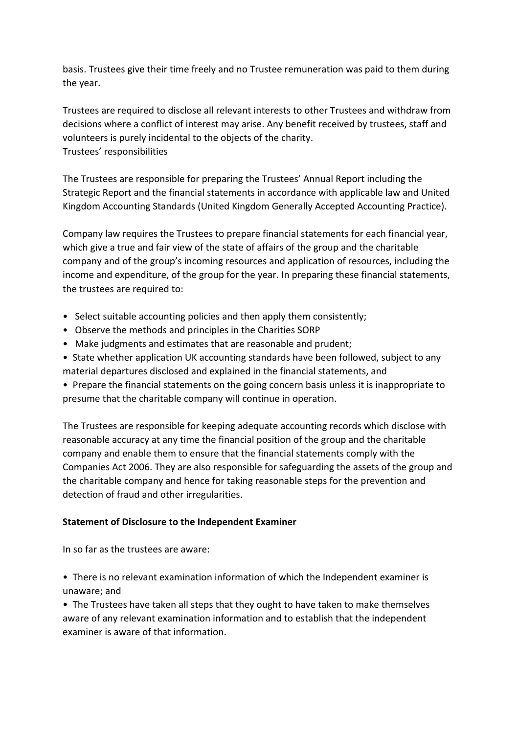basis. Trustees give their time freely and no Trustee remuneration was paid to them during the year.

Trustees are required to disclose all relevant interests to other Trustees and withdraw from decisions where a conflict of interest may arise. Any benefit received by trustees, staff and volunteers is purely incidental to the objects of the charity. Trustees' responsibilities

The Trustees are responsible for preparing the Trustees' Annual Report including the Strategic Report and the financial statements in accordance with applicable law and United Kingdom Accounting Standards (United Kingdom Generally Accepted Accounting Practice).

Company law requires the Trustees to prepare financial statements for each financial year, which give a true and fair view of the state of affairs of the group and the charitable company and of the group's incoming resources and application of resources, including the income and expenditure, of the group for the year. In preparing these financial statements, the trustees are required to:

- Select suitable accounting policies and then apply them consistently;
- Observe the methods and principles in the Charities SORP
- Make judgments and estimates that are reasonable and prudent;
- State whether application UK accounting standards have been followed, subject to any material departures disclosed and explained in the financial statements, and
- Prepare the financial statements on the going concern basis unless it is inappropriate to presume that the charitable company will continue in operation.

The Trustees are responsible for keeping adequate accounting records which disclose with reasonable accuracy at any time the financial position of the group and the charitable company and enable them to ensure that the financial statements comply with the Companies Act 2006. They are also responsible for safeguarding the assets of the group and the charitable company and hence for taking reasonable steps for the prevention and detection of fraud and other irregularities.

### **Statement of Disclosure to the Independent Examiner**

In so far as the trustees are aware:

• There is no relevant examination information of which the Independent examiner is unaware; and

• The Trustees have taken all steps that they ought to have taken to make themselves aware of any relevant examination information and to establish that the independent examiner is aware of that information.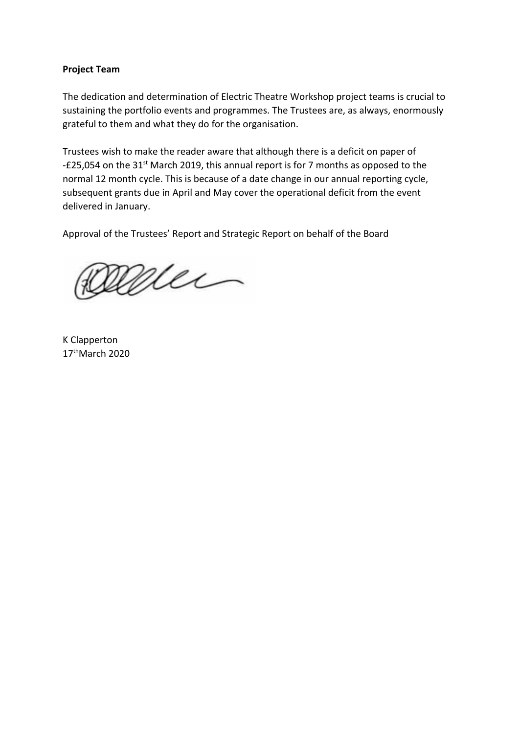### **Project Team**

The dedication and determination of Electric Theatre Workshop project teams is crucial to sustaining the portfolio events and programmes. The Trustees are, as always, enormously grateful to them and what they do for the organisation.

Trustees wish to make the reader aware that although there is a deficit on paper of -£25,054 on the 31<sup>st</sup> March 2019, this annual report is for 7 months as opposed to the normal 12 month cycle. This is because of a date change in our annual reporting cycle, subsequent grants due in April and May cover the operational deficit from the event delivered in January.

Approval of the Trustees' Report and Strategic Report on behalf of the Board

Mei

K Clapperton 17<sup>th</sup>March 2020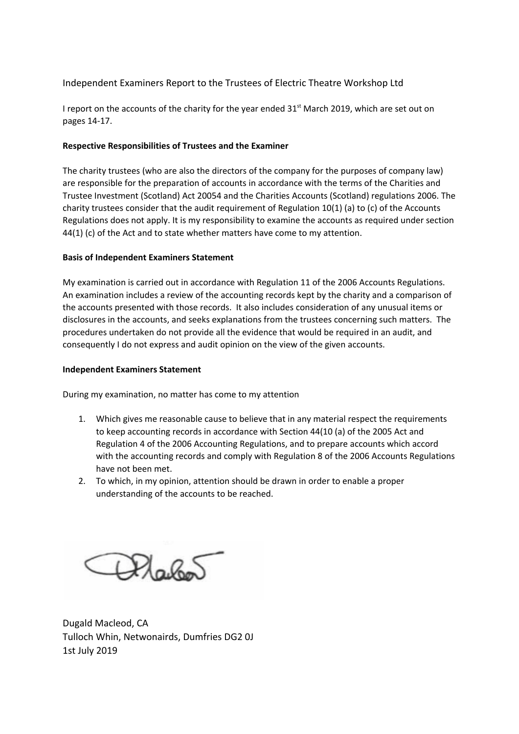Independent Examiners Report to the Trustees of Electric Theatre Workshop Ltd

I report on the accounts of the charity for the year ended  $31<sup>st</sup>$  March 2019, which are set out on pages 14-17.

#### **Respective Responsibilities of Trustees and the Examiner**

The charity trustees (who are also the directors of the company for the purposes of company law) are responsible for the preparation of accounts in accordance with the terms of the Charities and Trustee Investment (Scotland) Act 20054 and the Charities Accounts (Scotland) regulations 2006. The charity trustees consider that the audit requirement of Regulation 10(1) (a) to (c) of the Accounts Regulations does not apply. It is my responsibility to examine the accounts as required under section 44(1) (c) of the Act and to state whether matters have come to my attention.

#### **Basis of Independent Examiners Statement**

My examination is carried out in accordance with Regulation 11 of the 2006 Accounts Regulations. An examination includes a review of the accounting records kept by the charity and a comparison of the accounts presented with those records. It also includes consideration of any unusual items or disclosures in the accounts, and seeks explanations from the trustees concerning such matters. The procedures undertaken do not provide all the evidence that would be required in an audit, and consequently I do not express and audit opinion on the view of the given accounts.

#### **Independent Examiners Statement**

During my examination, no matter has come to my attention

- 1. Which gives me reasonable cause to believe that in any material respect the requirements to keep accounting records in accordance with Section 44(10 (a) of the 2005 Act and Regulation 4 of the 2006 Accounting Regulations, and to prepare accounts which accord with the accounting records and comply with Regulation 8 of the 2006 Accounts Regulations have not been met.
- 2. To which, in my opinion, attention should be drawn in order to enable a proper understanding of the accounts to be reached.

Plailen

Dugald Macleod, CA Tulloch Whin, Netwonairds, Dumfries DG2 0J 1st July 2019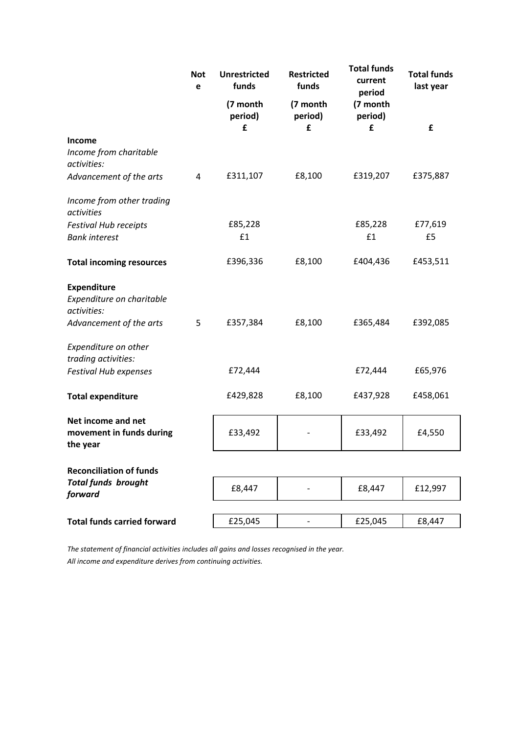|                                                                | <b>Not</b><br>e | <b>Unrestricted</b><br>funds | <b>Restricted</b><br>funds | <b>Total funds</b><br>current<br>period | <b>Total funds</b><br>last year |
|----------------------------------------------------------------|-----------------|------------------------------|----------------------------|-----------------------------------------|---------------------------------|
|                                                                |                 | (7 month<br>period)<br>£     | (7 month<br>period)<br>£   | (7 month<br>period)<br>£                | £                               |
| Income<br>Income from charitable<br>activities:                |                 |                              |                            |                                         |                                 |
| Advancement of the arts                                        | 4               | £311,107                     | £8,100                     | £319,207                                | £375,887                        |
| Income from other trading<br>activities                        |                 |                              |                            |                                         |                                 |
| <b>Festival Hub receipts</b><br><b>Bank interest</b>           |                 | £85,228<br>£1                |                            | £85,228<br>£1                           | £77,619<br>£5                   |
| <b>Total incoming resources</b>                                |                 | £396,336                     | £8,100                     | £404,436                                | £453,511                        |
| <b>Expenditure</b><br>Expenditure on charitable<br>activities: |                 |                              |                            |                                         |                                 |
| Advancement of the arts                                        | 5               | £357,384                     | £8,100                     | £365,484                                | £392,085                        |
| Expenditure on other<br>trading activities:                    |                 |                              |                            |                                         |                                 |
| <b>Festival Hub expenses</b>                                   |                 | £72,444                      |                            | £72,444                                 | £65,976                         |
| <b>Total expenditure</b>                                       |                 | £429,828                     | £8,100                     | £437,928                                | £458,061                        |
| Net income and net<br>movement in funds during<br>the year     |                 | £33,492                      |                            | £33,492                                 | £4,550                          |
| <b>Reconciliation of funds</b>                                 |                 |                              |                            |                                         |                                 |
| <b>Total funds brought</b><br>forward                          |                 | £8,447                       |                            | £8,447                                  | £12,997                         |
| <b>Total funds carried forward</b>                             |                 | £25,045                      | $\overline{\phantom{0}}$   | £25,045                                 | £8,447                          |
|                                                                |                 |                              |                            |                                         |                                 |

*The statement of financial activities includes all gains and losses recognised in the year. All income and expenditure derives from continuing activities.*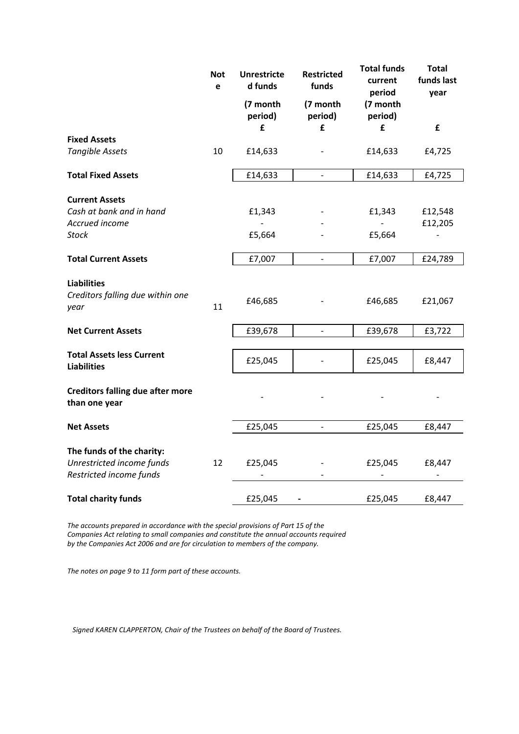|                                                                                     | <b>Not</b><br><b>Unrestricte</b><br>d funds<br>e |                     | <b>Restricted</b><br>funds | <b>Total funds</b><br>current<br>period | <b>Total</b><br>funds last<br>year |  |
|-------------------------------------------------------------------------------------|--------------------------------------------------|---------------------|----------------------------|-----------------------------------------|------------------------------------|--|
|                                                                                     |                                                  | (7 month<br>period) | (7 month<br>period)        | (7 month<br>period)                     |                                    |  |
| <b>Fixed Assets</b>                                                                 |                                                  | £                   | £                          | £                                       | £                                  |  |
| <b>Tangible Assets</b>                                                              | 10                                               | £14,633             |                            | £14,633                                 | £4,725                             |  |
| <b>Total Fixed Assets</b>                                                           |                                                  | £14,633             | $\overline{\phantom{0}}$   | £14,633                                 | £4,725                             |  |
| <b>Current Assets</b><br>Cash at bank and in hand<br>Accrued income<br><b>Stock</b> |                                                  | £1,343<br>£5,664    |                            | £1,343<br>£5,664                        | £12,548<br>£12,205                 |  |
| <b>Total Current Assets</b>                                                         |                                                  | £7,007              | $\frac{1}{2}$              | £7,007                                  | £24,789                            |  |
| <b>Liabilities</b><br>Creditors falling due within one<br>year                      | 11                                               | £46,685             |                            | £46,685                                 | £21,067                            |  |
| <b>Net Current Assets</b>                                                           |                                                  | £39,678             | $\qquad \qquad -$          | £39,678                                 | £3,722                             |  |
| <b>Total Assets less Current</b><br><b>Liabilities</b>                              |                                                  | £25,045             |                            | £25,045                                 | £8,447                             |  |
| <b>Creditors falling due after more</b><br>than one year                            |                                                  |                     |                            |                                         |                                    |  |
| <b>Net Assets</b>                                                                   |                                                  | £25,045             | $\qquad \qquad -$          | £25,045                                 | £8,447                             |  |
| The funds of the charity:<br>Unrestricted income funds<br>Restricted income funds   | 12                                               | £25,045             |                            | £25,045                                 | £8,447                             |  |
| <b>Total charity funds</b>                                                          |                                                  | £25,045             |                            | £25,045                                 | £8,447                             |  |

*The accounts prepared in accordance with the special provisions of Part 15 of the Companies Act relating to small companies and constitute the annual accounts required by the Companies Act 2006 and are for circulation to members of the company.*

*The notes on page 9 to 11 form part of these accounts.*

*Signed KAREN CLAPPERTON, Chair of the Trustees on behalf of the Board of Trustees.*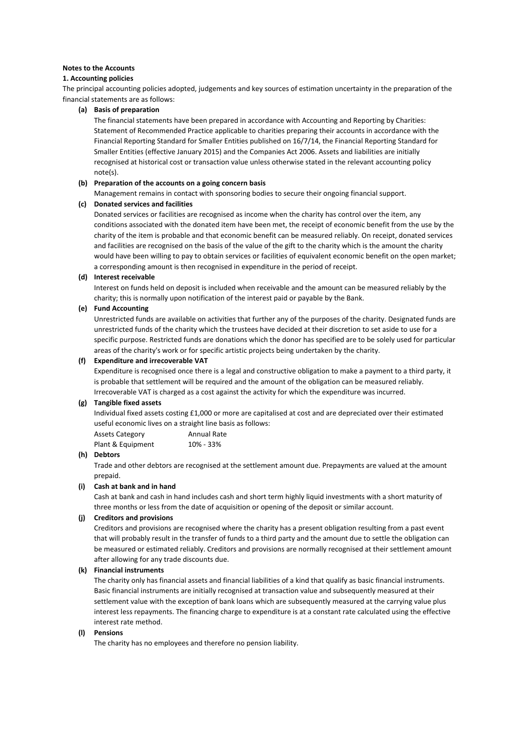#### **Notes to the Accounts**

#### **1. Accounting policies**

The principal accounting policies adopted, judgements and key sources of estimation uncertainty in the preparation of the financial statements are as follows:

#### **(a) Basis of preparation**

The financial statements have been prepared in accordance with Accounting and Reporting by Charities: Statement of Recommended Practice applicable to charities preparing their accounts in accordance with the Financial Reporting Standard for Smaller Entities published on 16/7/14, the Financial Reporting Standard for Smaller Entities (effective January 2015) and the Companies Act 2006. Assets and liabilities are initially recognised at historical cost or transaction value unless otherwise stated in the relevant accounting policy note(s).

#### **(b) Preparation of the accounts on a going concern basis**

Management remains in contact with sponsoring bodies to secure their ongoing financial support.

#### **(c) Donated services and facilities**

Donated services or facilities are recognised as income when the charity has control over the item, any conditions associated with the donated item have been met, the receipt of economic benefit from the use by the charity of the item is probable and that economic benefit can be measured reliably. On receipt, donated services and facilities are recognised on the basis of the value of the gift to the charity which is the amount the charity would have been willing to pay to obtain services or facilities of equivalent economic benefit on the open market; a corresponding amount is then recognised in expenditure in the period of receipt.

#### **(d) Interest receivable**

Interest on funds held on deposit is included when receivable and the amount can be measured reliably by the charity; this is normally upon notification of the interest paid or payable by the Bank.

#### **(e) Fund Accounting**

Unrestricted funds are available on activities that further any of the purposes of the charity. Designated funds are unrestricted funds of the charity which the trustees have decided at their discretion to set aside to use for a specific purpose. Restricted funds are donations which the donor has specified are to be solely used for particular areas of the charity's work or for specific artistic projects being undertaken by the charity.

#### **(f) Expenditure and irrecoverable VAT**

Expenditure is recognised once there is a legal and constructive obligation to make a payment to a third party, it is probable that settlement will be required and the amount of the obligation can be measured reliably. Irrecoverable VAT is charged as a cost against the activity for which the expenditure was incurred.

#### **(g) Tangible fixed assets**

Individual fixed assets costing £1,000 or more are capitalised at cost and are depreciated over their estimated useful economic lives on a straight line basis as follows:

| <b>Assets Category</b> | <b>Annual Rate</b> |
|------------------------|--------------------|
| Plant & Equipment      | 10% - 33%          |

#### **(h) Debtors**

Trade and other debtors are recognised at the settlement amount due. Prepayments are valued at the amount prepaid.

#### **(i) Cash at bank and in hand**

Cash at bank and cash in hand includes cash and short term highly liquid investments with a short maturity of three months or less from the date of acquisition or opening of the deposit or similar account.

#### **(j) Creditors and provisions**

Creditors and provisions are recognised where the charity has a present obligation resulting from a past event that will probably result in the transfer of funds to a third party and the amount due to settle the obligation can be measured or estimated reliably. Creditors and provisions are normally recognised at their settlement amount after allowing for any trade discounts due.

#### **(k) Financial instruments**

The charity only has financial assets and financial liabilities of a kind that qualify as basic financial instruments. Basic financial instruments are initially recognised at transaction value and subsequently measured at their settlement value with the exception of bank loans which are subsequently measured at the carrying value plus interest less repayments. The financing charge to expenditure is at a constant rate calculated using the effective interest rate method.

#### **(l) Pensions**

The charity has no employees and therefore no pension liability.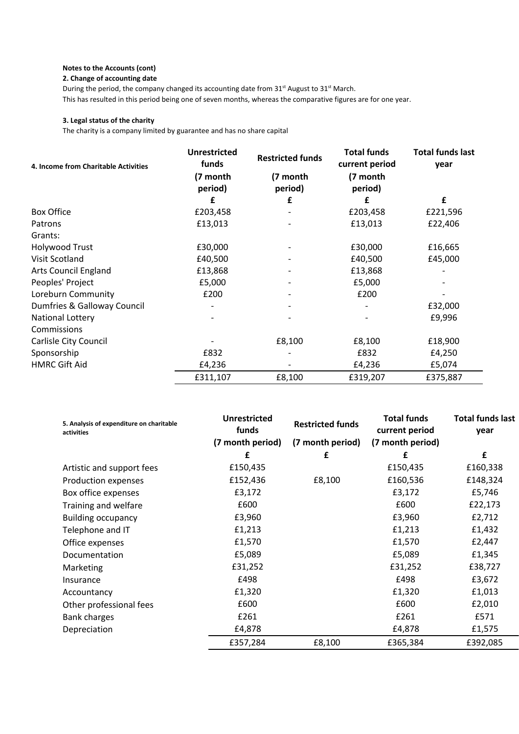#### **Notes to the Accounts (cont)**

#### **2. Change of accounting date**

During the period, the company changed its accounting date from 31<sup>st</sup> August to 31<sup>st</sup> March. This has resulted in this period being one of seven months, whereas the comparative figures are for one year.

#### **3. Legal status of the charity**

The charity is a company limited by guarantee and has no share capital

| 4. Income from Charitable Activities | <b>Unrestricted</b><br>funds | <b>Restricted funds</b> | <b>Total funds</b><br>current period | <b>Total funds last</b><br>year |
|--------------------------------------|------------------------------|-------------------------|--------------------------------------|---------------------------------|
|                                      | (7 month<br>period)          | (7 month<br>period)     | (7 month<br>period)                  |                                 |
|                                      | £                            | £                       | £                                    | £                               |
| <b>Box Office</b>                    | £203,458                     |                         | £203,458                             | £221,596                        |
| Patrons                              | £13,013                      |                         | £13,013                              | £22,406                         |
| Grants:                              |                              |                         |                                      |                                 |
| <b>Holywood Trust</b>                | £30,000                      |                         | £30,000                              | £16,665                         |
| Visit Scotland                       | £40,500                      |                         | £40,500                              | £45,000                         |
| <b>Arts Council England</b>          | £13,868                      |                         | £13,868                              |                                 |
| Peoples' Project                     | £5,000                       |                         | £5,000                               |                                 |
| Loreburn Community                   | £200                         |                         | £200                                 |                                 |
| Dumfries & Galloway Council          |                              |                         |                                      | £32,000                         |
| National Lottery                     |                              |                         |                                      | £9,996                          |
| Commissions                          |                              |                         |                                      |                                 |
| Carlisle City Council                |                              | £8,100                  | £8,100                               | £18,900                         |
| Sponsorship                          | £832                         |                         | £832                                 | £4,250                          |
| <b>HMRC Gift Aid</b>                 | £4,236                       |                         | £4,236                               | £5,074                          |
|                                      | £311,107                     | £8,100                  | £319,207                             | £375,887                        |

| 5. Analysis of expenditure on charitable<br>activities | <b>Unrestricted</b><br>funds | <b>Restricted funds</b> | <b>Total funds</b><br>current period | <b>Total funds last</b><br>year |
|--------------------------------------------------------|------------------------------|-------------------------|--------------------------------------|---------------------------------|
|                                                        | (7 month period)             | (7 month period)        | (7 month period)                     |                                 |
|                                                        | £                            | £                       | £                                    | £                               |
| Artistic and support fees                              | £150,435                     |                         | £150,435                             | £160,338                        |
| Production expenses                                    | £152,436                     | £8,100                  | £160,536                             | £148,324                        |
| Box office expenses                                    | £3,172                       |                         | £3,172                               | £5,746                          |
| Training and welfare                                   | £600                         |                         | £600                                 | £22,173                         |
| <b>Building occupancy</b>                              | £3,960                       |                         | £3,960                               | £2,712                          |
| Telephone and IT                                       | £1,213                       |                         | £1,213                               | £1,432                          |
| Office expenses                                        | £1,570                       |                         | £1,570                               | £2,447                          |
| Documentation                                          | £5,089                       |                         | £5,089                               | £1,345                          |
| Marketing                                              | £31,252                      |                         | £31,252                              | £38,727                         |
| Insurance                                              | £498                         |                         | £498                                 | £3,672                          |
| Accountancy                                            | £1,320                       |                         | £1,320                               | £1,013                          |
| Other professional fees                                | £600                         |                         | £600                                 | £2,010                          |
| Bank charges                                           | £261                         |                         | £261                                 | £571                            |
| Depreciation                                           | £4,878                       |                         | £4,878                               | £1,575                          |
|                                                        | £357,284                     | £8,100                  | £365,384                             | £392,085                        |